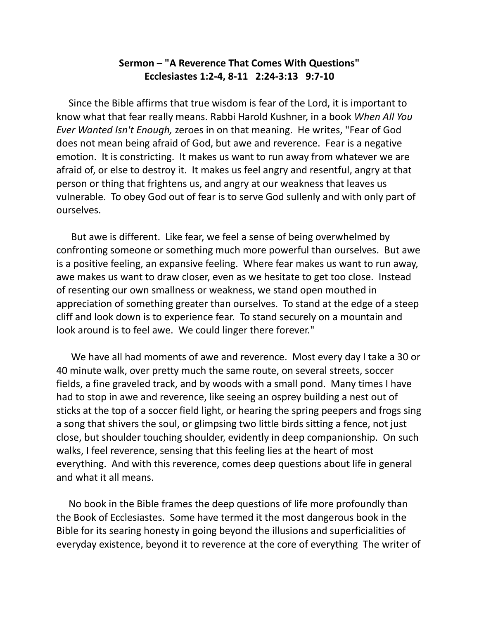## **Sermon – "A Reverence That Comes With Questions" Ecclesiastes 1:2-4, 8-11 2:24-3:13 9:7-10**

 Since the Bible affirms that true wisdom is fear of the Lord, it is important to know what that fear really means. Rabbi Harold Kushner, in a book *When All You Ever Wanted Isn't Enough,* zeroes in on that meaning. He writes, "Fear of God does not mean being afraid of God, but awe and reverence. Fear is a negative emotion. It is constricting. It makes us want to run away from whatever we are afraid of, or else to destroy it. It makes us feel angry and resentful, angry at that person or thing that frightens us, and angry at our weakness that leaves us vulnerable. To obey God out of fear is to serve God sullenly and with only part of ourselves.

 But awe is different. Like fear, we feel a sense of being overwhelmed by confronting someone or something much more powerful than ourselves. But awe is a positive feeling, an expansive feeling. Where fear makes us want to run away, awe makes us want to draw closer, even as we hesitate to get too close. Instead of resenting our own smallness or weakness, we stand open mouthed in appreciation of something greater than ourselves. To stand at the edge of a steep cliff and look down is to experience fear. To stand securely on a mountain and look around is to feel awe. We could linger there forever."

 We have all had moments of awe and reverence. Most every day I take a 30 or 40 minute walk, over pretty much the same route, on several streets, soccer fields, a fine graveled track, and by woods with a small pond. Many times I have had to stop in awe and reverence, like seeing an osprey building a nest out of sticks at the top of a soccer field light, or hearing the spring peepers and frogs sing a song that shivers the soul, or glimpsing two little birds sitting a fence, not just close, but shoulder touching shoulder, evidently in deep companionship. On such walks, I feel reverence, sensing that this feeling lies at the heart of most everything. And with this reverence, comes deep questions about life in general and what it all means.

 No book in the Bible frames the deep questions of life more profoundly than the Book of Ecclesiastes. Some have termed it the most dangerous book in the Bible for its searing honesty in going beyond the illusions and superficialities of everyday existence, beyond it to reverence at the core of everything The writer of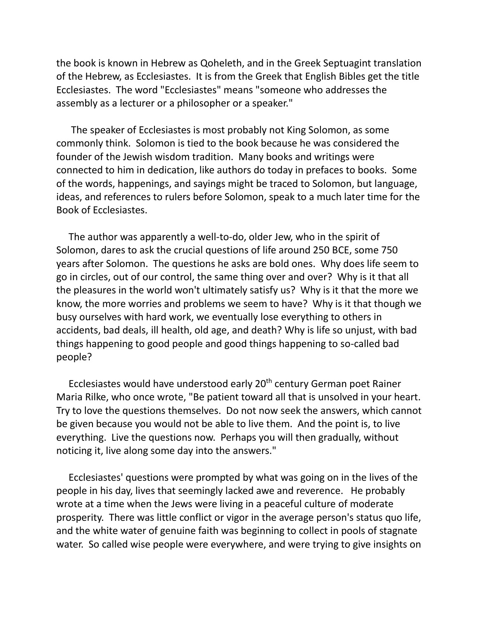the book is known in Hebrew as Qoheleth, and in the Greek Septuagint translation of the Hebrew, as Ecclesiastes. It is from the Greek that English Bibles get the title Ecclesiastes. The word "Ecclesiastes" means "someone who addresses the assembly as a lecturer or a philosopher or a speaker."

 The speaker of Ecclesiastes is most probably not King Solomon, as some commonly think. Solomon is tied to the book because he was considered the founder of the Jewish wisdom tradition. Many books and writings were connected to him in dedication, like authors do today in prefaces to books. Some of the words, happenings, and sayings might be traced to Solomon, but language, ideas, and references to rulers before Solomon, speak to a much later time for the Book of Ecclesiastes.

 The author was apparently a well-to-do, older Jew, who in the spirit of Solomon, dares to ask the crucial questions of life around 250 BCE, some 750 years after Solomon. The questions he asks are bold ones. Why does life seem to go in circles, out of our control, the same thing over and over? Why is it that all the pleasures in the world won't ultimately satisfy us? Why is it that the more we know, the more worries and problems we seem to have? Why is it that though we busy ourselves with hard work, we eventually lose everything to others in accidents, bad deals, ill health, old age, and death? Why is life so unjust, with bad things happening to good people and good things happening to so-called bad people?

Ecclesiastes would have understood early 20<sup>th</sup> century German poet Rainer Maria Rilke, who once wrote, "Be patient toward all that is unsolved in your heart. Try to love the questions themselves. Do not now seek the answers, which cannot be given because you would not be able to live them. And the point is, to live everything. Live the questions now. Perhaps you will then gradually, without noticing it, live along some day into the answers."

 Ecclesiastes' questions were prompted by what was going on in the lives of the people in his day, lives that seemingly lacked awe and reverence. He probably wrote at a time when the Jews were living in a peaceful culture of moderate prosperity. There was little conflict or vigor in the average person's status quo life, and the white water of genuine faith was beginning to collect in pools of stagnate water. So called wise people were everywhere, and were trying to give insights on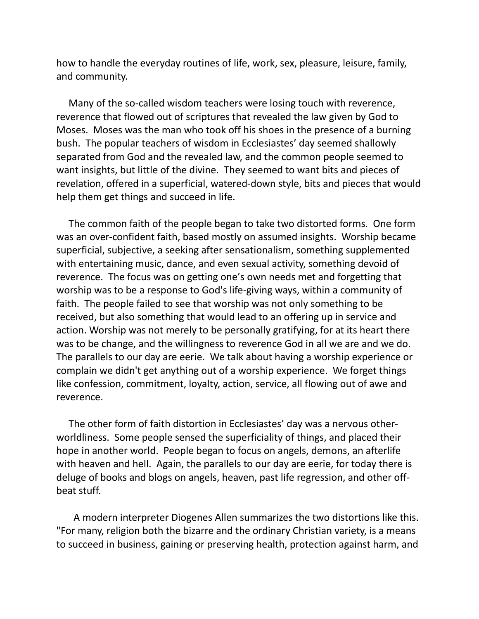how to handle the everyday routines of life, work, sex, pleasure, leisure, family, and community.

 Many of the so-called wisdom teachers were losing touch with reverence, reverence that flowed out of scriptures that revealed the law given by God to Moses. Moses was the man who took off his shoes in the presence of a burning bush. The popular teachers of wisdom in Ecclesiastes' day seemed shallowly separated from God and the revealed law, and the common people seemed to want insights, but little of the divine. They seemed to want bits and pieces of revelation, offered in a superficial, watered-down style, bits and pieces that would help them get things and succeed in life.

 The common faith of the people began to take two distorted forms. One form was an over-confident faith, based mostly on assumed insights. Worship became superficial, subjective, a seeking after sensationalism, something supplemented with entertaining music, dance, and even sexual activity, something devoid of reverence. The focus was on getting one's own needs met and forgetting that worship was to be a response to God's life-giving ways, within a community of faith. The people failed to see that worship was not only something to be received, but also something that would lead to an offering up in service and action. Worship was not merely to be personally gratifying, for at its heart there was to be change, and the willingness to reverence God in all we are and we do. The parallels to our day are eerie. We talk about having a worship experience or complain we didn't get anything out of a worship experience. We forget things like confession, commitment, loyalty, action, service, all flowing out of awe and reverence.

 The other form of faith distortion in Ecclesiastes' day was a nervous otherworldliness. Some people sensed the superficiality of things, and placed their hope in another world. People began to focus on angels, demons, an afterlife with heaven and hell. Again, the parallels to our day are eerie, for today there is deluge of books and blogs on angels, heaven, past life regression, and other offbeat stuff.

 A modern interpreter Diogenes Allen summarizes the two distortions like this. "For many, religion both the bizarre and the ordinary Christian variety, is a means to succeed in business, gaining or preserving health, protection against harm, and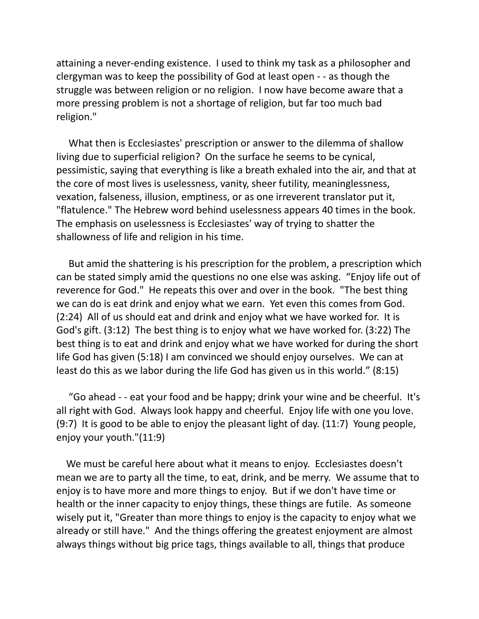attaining a never-ending existence. I used to think my task as a philosopher and clergyman was to keep the possibility of God at least open - - as though the struggle was between religion or no religion. I now have become aware that a more pressing problem is not a shortage of religion, but far too much bad religion."

 What then is Ecclesiastes' prescription or answer to the dilemma of shallow living due to superficial religion? On the surface he seems to be cynical, pessimistic, saying that everything is like a breath exhaled into the air, and that at the core of most lives is uselessness, vanity, sheer futility, meaninglessness, vexation, falseness, illusion, emptiness, or as one irreverent translator put it, "flatulence." The Hebrew word behind uselessness appears 40 times in the book. The emphasis on uselessness is Ecclesiastes' way of trying to shatter the shallowness of life and religion in his time.

 But amid the shattering is his prescription for the problem, a prescription which can be stated simply amid the questions no one else was asking. "Enjoy life out of reverence for God." He repeats this over and over in the book. "The best thing we can do is eat drink and enjoy what we earn. Yet even this comes from God. (2:24) All of us should eat and drink and enjoy what we have worked for. It is God's gift. (3:12) The best thing is to enjoy what we have worked for. (3:22) The best thing is to eat and drink and enjoy what we have worked for during the short life God has given (5:18) I am convinced we should enjoy ourselves. We can at least do this as we labor during the life God has given us in this world." (8:15)

 "Go ahead - - eat your food and be happy; drink your wine and be cheerful. It's all right with God. Always look happy and cheerful. Enjoy life with one you love. (9:7) It is good to be able to enjoy the pleasant light of day. (11:7) Young people, enjoy your youth."(11:9)

 We must be careful here about what it means to enjoy. Ecclesiastes doesn't mean we are to party all the time, to eat, drink, and be merry. We assume that to enjoy is to have more and more things to enjoy. But if we don't have time or health or the inner capacity to enjoy things, these things are futile. As someone wisely put it, "Greater than more things to enjoy is the capacity to enjoy what we already or still have." And the things offering the greatest enjoyment are almost always things without big price tags, things available to all, things that produce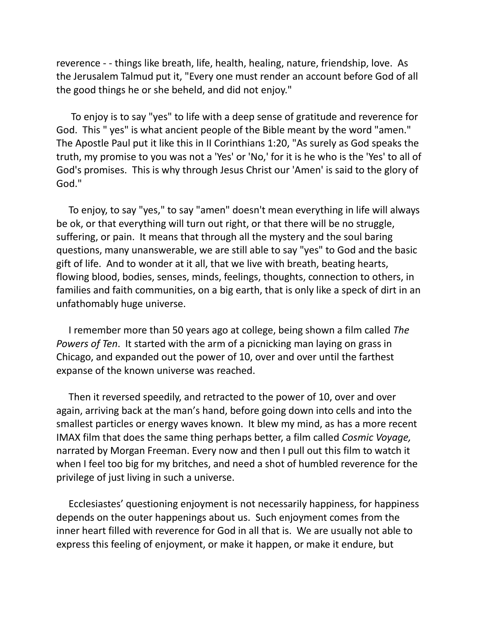reverence - - things like breath, life, health, healing, nature, friendship, love. As the Jerusalem Talmud put it, "Every one must render an account before God of all the good things he or she beheld, and did not enjoy."

 To enjoy is to say "yes" to life with a deep sense of gratitude and reverence for God. This " yes" is what ancient people of the Bible meant by the word "amen." The Apostle Paul put it like this in II Corinthians 1:20, "As surely as God speaks the truth, my promise to you was not a 'Yes' or 'No,' for it is he who is the 'Yes' to all of God's promises. This is why through Jesus Christ our 'Amen' is said to the glory of God."

 To enjoy, to say "yes," to say "amen" doesn't mean everything in life will always be ok, or that everything will turn out right, or that there will be no struggle, suffering, or pain. It means that through all the mystery and the soul baring questions, many unanswerable, we are still able to say "yes" to God and the basic gift of life. And to wonder at it all, that we live with breath, beating hearts, flowing blood, bodies, senses, minds, feelings, thoughts, connection to others, in families and faith communities, on a big earth, that is only like a speck of dirt in an unfathomably huge universe.

 I remember more than 50 years ago at college, being shown a film called *The Powers of Ten*. It started with the arm of a picnicking man laying on grass in Chicago, and expanded out the power of 10, over and over until the farthest expanse of the known universe was reached.

 Then it reversed speedily, and retracted to the power of 10, over and over again, arriving back at the man's hand, before going down into cells and into the smallest particles or energy waves known. It blew my mind, as has a more recent IMAX film that does the same thing perhaps better, a film called *Cosmic Voyage,* narrated by Morgan Freeman. Every now and then I pull out this film to watch it when I feel too big for my britches, and need a shot of humbled reverence for the privilege of just living in such a universe.

 Ecclesiastes' questioning enjoyment is not necessarily happiness, for happiness depends on the outer happenings about us. Such enjoyment comes from the inner heart filled with reverence for God in all that is. We are usually not able to express this feeling of enjoyment, or make it happen, or make it endure, but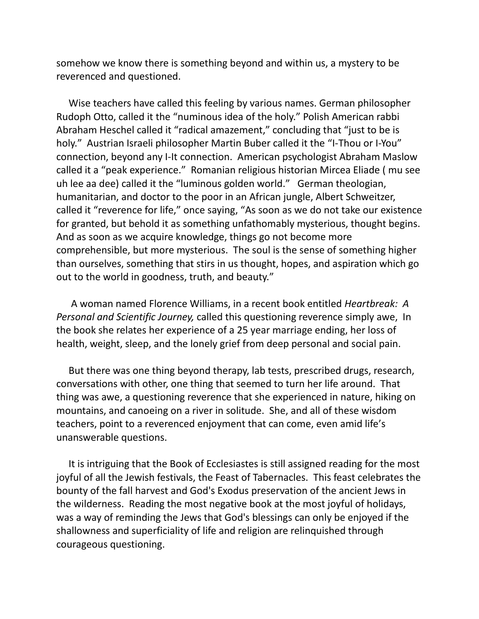somehow we know there is something beyond and within us, a mystery to be reverenced and questioned.

 Wise teachers have called this feeling by various names. German philosopher Rudoph Otto, called it the "numinous idea of the holy." Polish American rabbi Abraham Heschel called it "radical amazement," concluding that "just to be is holy." Austrian Israeli philosopher Martin Buber called it the "I-Thou or I-You" connection, beyond any I-It connection. American psychologist Abraham Maslow called it a "peak experience." Romanian religious historian Mircea Eliade ( mu see uh lee aa dee) called it the "luminous golden world." German theologian, humanitarian, and doctor to the poor in an African jungle, Albert Schweitzer, called it "reverence for life," once saying, "As soon as we do not take our existence for granted, but behold it as something unfathomably mysterious, thought begins. And as soon as we acquire knowledge, things go not become more comprehensible, but more mysterious. The soul is the sense of something higher than ourselves, something that stirs in us thought, hopes, and aspiration which go out to the world in goodness, truth, and beauty."

 A woman named Florence Williams, in a recent book entitled *Heartbreak: A Personal and Scientific Journey,* called this questioning reverence simply awe, In the book she relates her experience of a 25 year marriage ending, her loss of health, weight, sleep, and the lonely grief from deep personal and social pain.

 But there was one thing beyond therapy, lab tests, prescribed drugs, research, conversations with other, one thing that seemed to turn her life around. That thing was awe, a questioning reverence that she experienced in nature, hiking on mountains, and canoeing on a river in solitude. She, and all of these wisdom teachers, point to a reverenced enjoyment that can come, even amid life's unanswerable questions.

 It is intriguing that the Book of Ecclesiastes is still assigned reading for the most joyful of all the Jewish festivals, the Feast of Tabernacles. This feast celebrates the bounty of the fall harvest and God's Exodus preservation of the ancient Jews in the wilderness. Reading the most negative book at the most joyful of holidays, was a way of reminding the Jews that God's blessings can only be enjoyed if the shallowness and superficiality of life and religion are relinquished through courageous questioning.